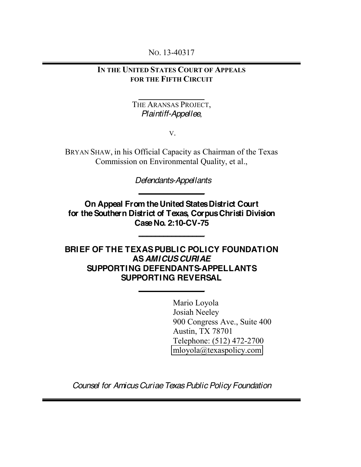NO. 13-40317

## **IN THE UNITED STATES COURT OF APPEALS FOR THE FIFTH CIRCUIT**

#### **\_\_\_\_\_\_\_\_\_\_\_\_\_\_\_\_** THE ARANSAS PROJECT, *Plaintiff-Appellee*,

V.

BRYAN SHAW, in his Official Capacity as Chairman of the Texas Commission on Environmental Quality, et al.,

> *Defendants-Appellants* **\_\_\_\_\_\_\_\_\_\_\_\_\_\_\_\_**

**On Appeal From the United States District Court for the Southern District of Texas, Corpus Christi Division Case No. 2:10-CV-75**

**\_\_\_\_\_\_\_\_\_\_\_\_\_\_\_\_**

**BRIEF OF THE TEXAS PUBLIC POLICY FOUNDATION AS** *AMICUS CURIAE* **SUPPORTING DEFENDANTS-APPELLANTS SUPPORTING REVERSAL**

**\_\_\_\_\_\_\_\_\_\_\_\_\_\_\_\_**

Mario Loyola Josiah Neeley 900 Congress Ave., Suite 400 Austin, TX 78701 Telephone: (512) 472-2700 [mloyola@texaspolicy.com](mailto:mloyola@texaspolicy.com)

*Counsel for Amicus Curiae Texas Public Policy Foundation*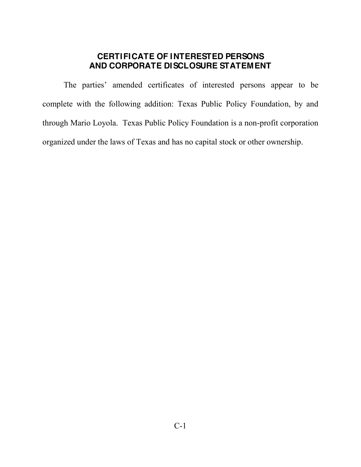## **CERTIFICATE OF INTERESTED PERSONS AND CORPORATE DISCLOSURE STATEMENT**

The parties' amended certificates of interested persons appear to be complete with the following addition: Texas Public Policy Foundation, by and through Mario Loyola. Texas Public Policy Foundation is a non-profit corporation organized under the laws of Texas and has no capital stock or other ownership.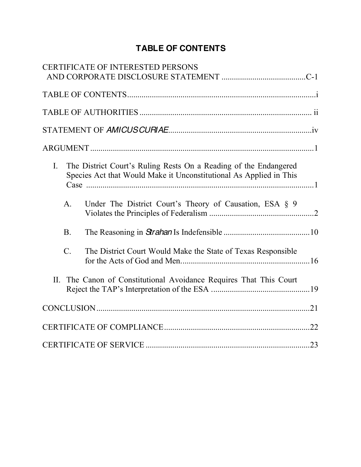# **TABLE OF CONTENTS**

|                |                                                                                                                                        | <b>CERTIFICATE OF INTERESTED PERSONS</b>                       |  |  |
|----------------|----------------------------------------------------------------------------------------------------------------------------------------|----------------------------------------------------------------|--|--|
|                |                                                                                                                                        |                                                                |  |  |
|                |                                                                                                                                        |                                                                |  |  |
|                |                                                                                                                                        |                                                                |  |  |
|                |                                                                                                                                        |                                                                |  |  |
| $\mathbf{I}$ . | The District Court's Ruling Rests On a Reading of the Endangered<br>Species Act that Would Make it Unconstitutional As Applied in This |                                                                |  |  |
|                | $A_{\cdot}$                                                                                                                            | Under The District Court's Theory of Causation, ESA § 9        |  |  |
|                | <b>B</b> .                                                                                                                             |                                                                |  |  |
|                | $\mathcal{C}$ .                                                                                                                        | The District Court Would Make the State of Texas Responsible   |  |  |
| II.            |                                                                                                                                        | The Canon of Constitutional Avoidance Requires That This Court |  |  |
|                |                                                                                                                                        |                                                                |  |  |
|                |                                                                                                                                        |                                                                |  |  |
|                |                                                                                                                                        |                                                                |  |  |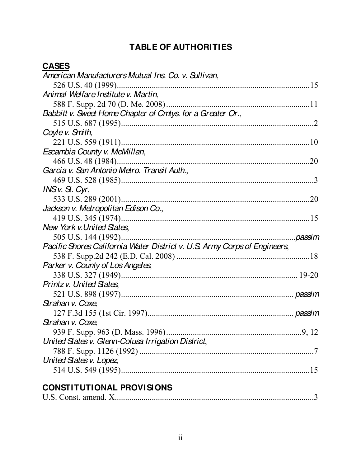# **TABLE OF AUTHORITIES**

| American Manufacturers Mutual Ins. Co. v. Sullivan,                       |         |
|---------------------------------------------------------------------------|---------|
| 526 U.S. 40 (1999)                                                        |         |
| Animal Welfare Institute v. Martin,                                       |         |
|                                                                           |         |
| Babbitt v. Sweet Home Chapter of Cmtys. for a Greater Or.,                |         |
|                                                                           |         |
| Coyle v. Smith,                                                           |         |
|                                                                           |         |
| Escambia County v. McMillan,                                              |         |
|                                                                           | .20     |
| Garcia v. San Antonio Metro. Transit Auth.,                               |         |
|                                                                           |         |
| $INSV. SL$ . $Cyr$                                                        |         |
|                                                                           |         |
| Jackson v. Metropolitan Edison Co.,                                       |         |
|                                                                           |         |
| <b>New York v. United States.</b>                                         |         |
|                                                                           | .passim |
| Pacific Shores California Water District v. U.S. Army Corps of Engineers, |         |
|                                                                           |         |
| Parker v. County of Los Angeles,                                          |         |
|                                                                           |         |
| Printz v. United States,                                                  |         |
|                                                                           |         |
| Strahan v. Coxe,                                                          |         |
|                                                                           |         |
| Strahan v. Coxe,                                                          |         |
| 939 F. Supp. 963 (D. Mass. 1996)                                          | 9, 12   |
| United States v. Glenn-Colusa Irrigation District,                        |         |
|                                                                           |         |
| United States v. Lopez                                                    |         |
|                                                                           |         |
|                                                                           |         |

# **CONSTITUTIONAL PROVISIONS**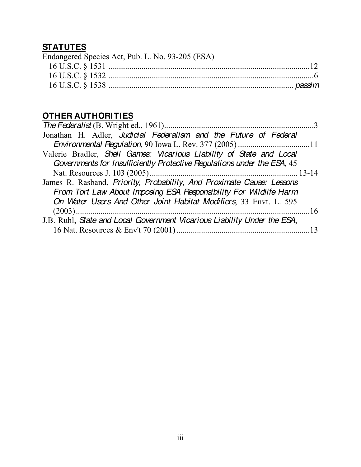# **STATUTES**

| Endangered Species Act, Pub. L. No. 93-205 (ESA) |
|--------------------------------------------------|
|                                                  |
|                                                  |
|                                                  |

# **OTHER AUTHORITIES**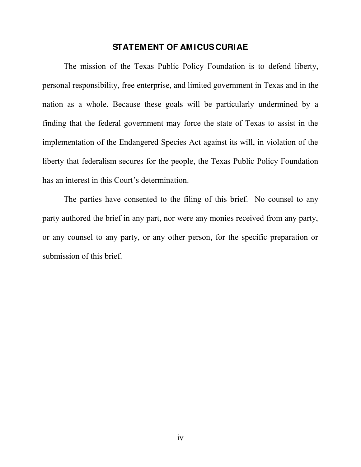#### **STATEMENT OF AMICUS CURIAE**

The mission of the Texas Public Policy Foundation is to defend liberty, personal responsibility, free enterprise, and limited government in Texas and in the nation as a whole. Because these goals will be particularly undermined by a finding that the federal government may force the state of Texas to assist in the implementation of the Endangered Species Act against its will, in violation of the liberty that federalism secures for the people, the Texas Public Policy Foundation has an interest in this Court's determination.

The parties have consented to the filing of this brief. No counsel to any party authored the brief in any part, nor were any monies received from any party, or any counsel to any party, or any other person, for the specific preparation or submission of this brief.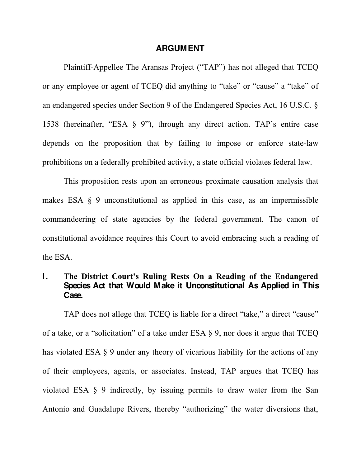#### **ARGUMENT**

Plaintiff-Appellee The Aransas Project ("TAP") has not alleged that TCEQ or any employee or agent of TCEQ did anything to "take" or "cause" a "take" of an endangered species under Section 9 of the Endangered Species Act, 16 U.S.C. § 1538 (hereinafter, "ESA  $\S$  9"), through any direct action. TAP's entire case depends on the proposition that by failing to impose or enforce state-law prohibitions on a federally prohibited activity, a state official violates federal law.

This proposition rests upon an erroneous proximate causation analysis that makes ESA § 9 unconstitutional as applied in this case, as an impermissible commandeering of state agencies by the federal government. The canon of constitutional avoidance requires this Court to avoid embracing such a reading of the ESA.

#### **I.** The District Court's Ruling Rests On a Reading of the Endangered **Species Act that Would Make it Unconstitutional As Applied in This Case.**

TAP does not allege that TCEO is liable for a direct "take," a direct "cause" of a take, or a "solicitation" of a take under ESA  $\S$  9, nor does it argue that TCEQ has violated ESA § 9 under any theory of vicarious liability for the actions of any of their employees, agents, or associates. Instead, TAP argues that TCEQ has violated ESA § 9 indirectly, by issuing permits to draw water from the San Antonio and Guadalupe Rivers, thereby "authorizing" the water diversions that,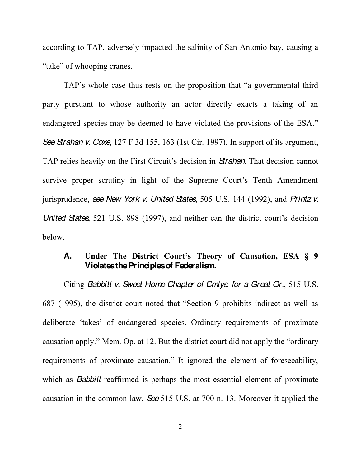according to TAP, adversely impacted the salinity of San Antonio bay, causing a "take" of whooping cranes.

TAP's whole case thus rests on the proposition that "a governmental third party pursuant to whose authority an actor directly exacts a taking of an endangered species may be deemed to have violated the provisions of the ESA." *SeeStrahan v. Coxe*, 127 F.3d 155, 163 (1st Cir. 1997). In support of its argument, TAP relies heavily on the First Circuit's decision in **Strahan**. That decision cannot survive proper scrutiny in light of the Supreme Court's Tenth Amendment jurisprudence, *see New York v. United States*, 505 U.S. 144 (1992), and *Printz v. United States*, 521 U.S. 898 (1997), and neither can the district court's decision below.

#### **A. Under The District Court's Theory of Causation, ESA § 9 Violates the Principles of Federalism.**

Citing *Babbitt v. Sweet Home Chapter of Cmtys. for a Great Or.*, 515 U.S. 687 (1995), the district court noted that "Section 9 prohibits indirect as well as deliberate 'takes' of endangered species. Ordinary requirements of proximate causation apply." Mem. Op. at 12. But the district court did not apply the "ordinary" requirements of proximate causation." It ignored the element of foreseeability, which as *Babbitt* reaffirmed is perhaps the most essential element of proximate causation in the common law. *See* 515 U.S. at 700 n. 13. Moreover it applied the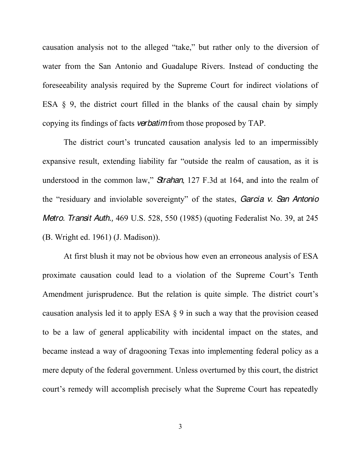causation analysis not to the alleged "take," but rather only to the diversion of water from the San Antonio and Guadalupe Rivers. Instead of conducting the foreseeability analysis required by the Supreme Court for indirect violations of ESA  $\&$  9, the district court filled in the blanks of the causal chain by simply copying its findings of facts *verbatim*from those proposed by TAP.

The district court's truncated causation analysis led to an impermissibly expansive result, extending liability far "outside the realm of causation, as it is understood in the common law," **Strahan**, 127 F.3d at 164, and into the realm of the "residuary and inviolable sovereignty" of the states, *Garcia v. San Antonio Metro. Transit Auth.,* 469 U.S. 528, 550 (1985) (quoting Federalist No. 39, at 245 (B. Wright ed. 1961) (J. Madison)).

At first blush it may not be obvious how even an erroneous analysis of ESA proximate causation could lead to a violation of the Supreme Court's Tenth Amendment jurisprudence. But the relation is quite simple. The district court's causation analysis led it to apply ESA § 9 in such a way that the provision ceased to be a law of general applicability with incidental impact on the states, and became instead a way of dragooning Texas into implementing federal policy as a mere deputy of the federal government. Unless overturned by this court, the district court's remedy will accomplish precisely what the Supreme Court has repeatedly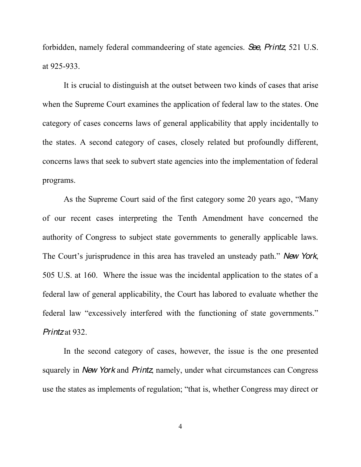forbidden, namely federal commandeering of state agencies. *See, Printz*, 521 U.S. at 925-933.

It is crucial to distinguish at the outset between two kinds of cases that arise when the Supreme Court examines the application of federal law to the states. One category of cases concerns laws of general applicability that apply incidentally to the states. A second category of cases, closely related but profoundly different, concerns laws that seek to subvert state agencies into the implementation of federal programs.

As the Supreme Court said of the first category some 20 years ago, "Many" of our recent cases interpreting the Tenth Amendment have concerned the authority of Congress to subject state governments to generally applicable laws. The Court's jurisprudence in this area has traveled an unsteady path." New York, 505 U.S. at 160. Where the issue was the incidental application to the states of a federal law of general applicability, the Court has labored to evaluate whether the federal law "excessively interfered with the functioning of state governments." *Printz* at 932.

In the second category of cases, however, the issue is the one presented squarely in *New York* and *Printz*, namely, under what circumstances can Congress use the states as implements of regulation; "that is, whether Congress may direct or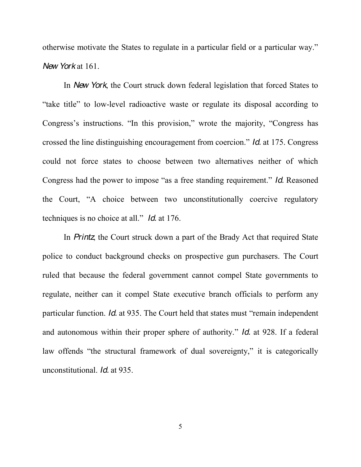otherwise motivate the States to regulate in a particular field or a particular way." *New York* at 161.

In *New York*, the Court struck down federal legislation that forced States to "take title" to low-level radioactive waste or regulate its disposal according to Congress's instructions. "In this provision," wrote the majority, "Congress has crossed the line distinguishing encouragement from coercion." *Id.* at 175. Congress could not force states to choose between two alternatives neither of which Congress had the power to impose "as a free standing requirement." *Id.* Reasoned the Court, "A choice between two unconstitutionally coercive regulatory techniques is no choice at all." *Id.* at 176.

In *Printz*, the Court struck down a part of the Brady Act that required State police to conduct background checks on prospective gun purchasers. The Court ruled that because the federal government cannot compel State governments to regulate, neither can it compel State executive branch officials to perform any particular function. *Id.* at 935. The Court held that states must "remain independent" and autonomous within their proper sphere of authority.´*Id.* at 928. If a federal law offends "the structural framework of dual sovereignty," it is categorically unconstitutional. *Id.* at 935.

5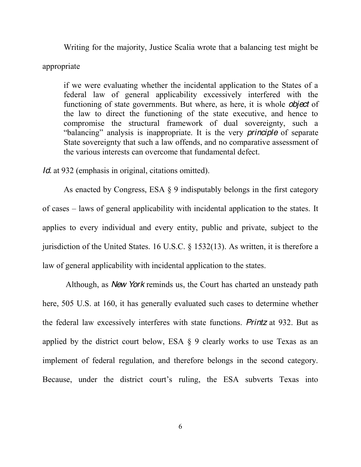Writing for the majority, Justice Scalia wrote that a balancing test might be

#### appropriate

if we were evaluating whether the incidental application to the States of a federal law of general applicability excessively interfered with the functioning of state governments. But where, as here, it is whole *object* of the law to direct the functioning of the state executive, and hence to compromise the structural framework of dual sovereignty, such a "balancing" analysis is inappropriate. It is the very *principle* of separate State sovereignty that such a law offends, and no comparative assessment of the various interests can overcome that fundamental defect.

*Id.* at 932 (emphasis in original, citations omitted).

As enacted by Congress, ESA § 9 indisputably belongs in the first category of cases – laws of general applicability with incidental application to the states. It applies to every individual and every entity, public and private, subject to the jurisdiction of the United States. 16 U.S.C. § 1532(13). As written, it is therefore a law of general applicability with incidental application to the states.

Although, as *New York* reminds us, the Court has charted an unsteady path here, 505 U.S. at 160, it has generally evaluated such cases to determine whether the federal law excessively interferes with state functions. *Printz* at 932. But as applied by the district court below, ESA § 9 clearly works to use Texas as an implement of federal regulation, and therefore belongs in the second category. Because, under the district court's ruling, the ESA subverts Texas into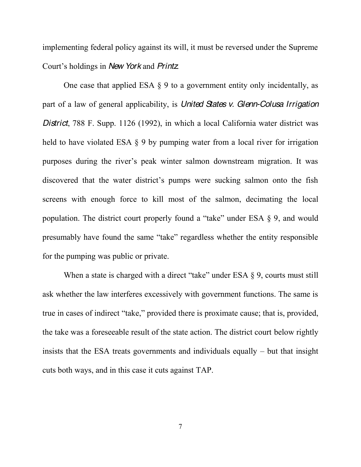implementing federal policy against its will, it must be reversed under the Supreme Court's holdings in *New York* and *Printz*.

One case that applied ESA § 9 to a government entity only incidentally, as part of a law of general applicability, is *United States v. Glenn-Colusa Irrigation District*, 788 F. Supp. 1126 (1992), in which a local California water district was held to have violated ESA § 9 by pumping water from a local river for irrigation purposes during the river's peak winter salmon downstream migration. It was discovered that the water district's pumps were sucking salmon onto the fish screens with enough force to kill most of the salmon, decimating the local population. The district court properly found a "take" under ESA  $\S$  9, and would presumably have found the same "take" regardless whether the entity responsible for the pumping was public or private.

When a state is charged with a direct "take" under ESA  $\S$  9, courts must still ask whether the law interferes excessively with government functions. The same is true in cases of indirect "take," provided there is proximate cause; that is, provided, the take was a foreseeable result of the state action. The district court below rightly insists that the ESA treats governments and individuals equally  $-$  but that insight cuts both ways, and in this case it cuts against TAP.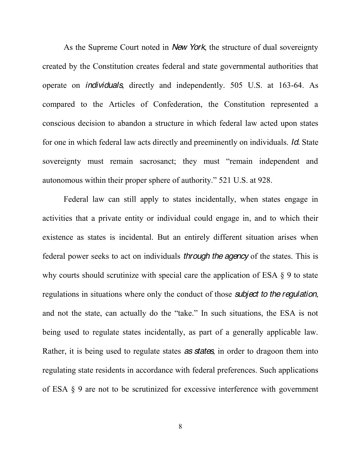As the Supreme Court noted in *New York*, the structure of dual sovereignty created by the Constitution creates federal and state governmental authorities that operate on *individuals*, directly and independently. 505 U.S. at 163-64. As compared to the Articles of Confederation, the Constitution represented a conscious decision to abandon a structure in which federal law acted upon states for one in which federal law acts directly and preeminently on individuals. *Id.* State sovereignty must remain sacrosanct; they must "remain independent and autonomous within their proper sphere of authority." 521 U.S. at 928.

Federal law can still apply to states incidentally, when states engage in activities that a private entity or individual could engage in, and to which their existence as states is incidental. But an entirely different situation arises when federal power seeks to act on individuals *through the agency* of the states. This is why courts should scrutinize with special care the application of ESA § 9 to state regulations in situations where only the conduct of those *subject to the regulation*, and not the state, can actually do the "take." In such situations, the ESA is not being used to regulate states incidentally, as part of a generally applicable law. Rather, it is being used to regulate states *as states*, in order to dragoon them into regulating state residents in accordance with federal preferences. Such applications of ESA § 9 are not to be scrutinized for excessive interference with government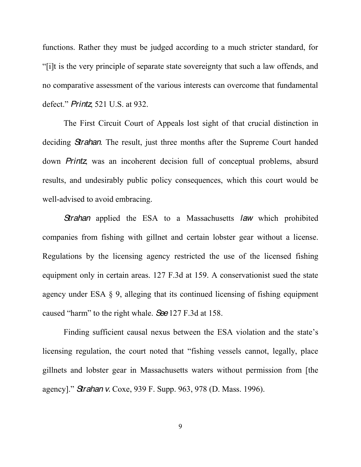functions. Rather they must be judged according to a much stricter standard, for Filt is the very principle of separate state sovereignty that such a law offends, and no comparative assessment of the various interests can overcome that fundamental defect." *Printz*, 521 U.S. at 932.

The First Circuit Court of Appeals lost sight of that crucial distinction in deciding *Strahan*. The result, just three months after the Supreme Court handed down *Printz*, was an incoherent decision full of conceptual problems, absurd results, and undesirably public policy consequences, which this court would be well-advised to avoid embracing.

*Strahan* applied the ESA to a Massachusetts *law* which prohibited companies from fishing with gillnet and certain lobster gear without a license. Regulations by the licensing agency restricted the use of the licensed fishing equipment only in certain areas. 127 F.3d at 159. A conservationist sued the state agency under ESA § 9, alleging that its continued licensing of fishing equipment caused "harm" to the right whale. **See** 127 F.3d at 158.

Finding sufficient causal nexus between the ESA violation and the state's licensing regulation, the court noted that "fishing vessels cannot, legally, place gillnets and lobster gear in Massachusetts waters without permission from [the agency]." *Strahan v.* Coxe, 939 F. Supp. 963, 978 (D. Mass. 1996).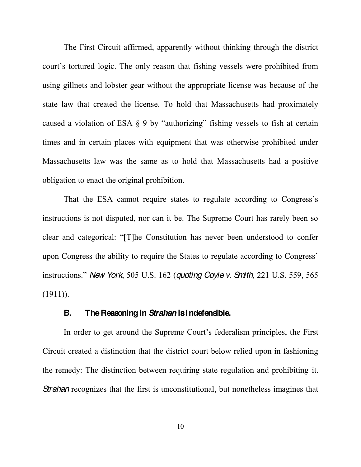The First Circuit affirmed, apparently without thinking through the district court's tortured logic. The only reason that fishing vessels were prohibited from using gillnets and lobster gear without the appropriate license was because of the state law that created the license. To hold that Massachusetts had proximately caused a violation of ESA  $\S$  9 by "authorizing" fishing vessels to fish at certain times and in certain places with equipment that was otherwise prohibited under Massachusetts law was the same as to hold that Massachusetts had a positive obligation to enact the original prohibition.

That the ESA cannot require states to regulate according to Congress's instructions is not disputed, nor can it be. The Supreme Court has rarely been so clear and categorical: "[T] he Constitution has never been understood to confer upon Congress the ability to require the States to regulate according to Congress' instructions." New York, 505 U.S. 162 (*quoting Coyle v. Smith*, 221 U.S. 559, 565  $(1911)$ ).

#### **B. The Reasoning in** *Strahan* **is Indefensible.**

In order to get around the Supreme Court's federalism principles, the First Circuit created a distinction that the district court below relied upon in fashioning the remedy: The distinction between requiring state regulation and prohibiting it. *Strahan* recognizes that the first is unconstitutional, but nonetheless imagines that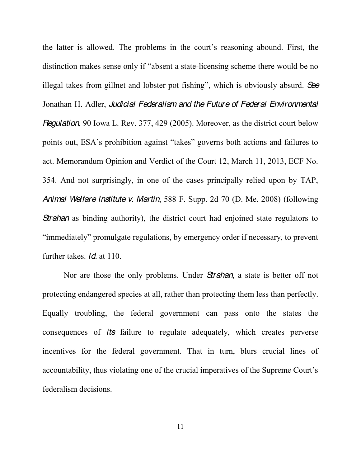the latter is allowed. The problems in the court's reasoning abound. First, the distinction makes sense only if "absent a state-licensing scheme there would be no illegal takes from gillnet and lobster pot fishing", which is obviously absurd. See Jonathan H. Adler, *Judicial Federalism and the Future of Federal Environmental Regulation*, 90 Iowa L. Rev. 377, 429 (2005). Moreover, as the district court below points out, ESA's prohibition against "takes" governs both actions and failures to act. Memorandum Opinion and Verdict of the Court 12, March 11, 2013, ECF No. 354. And not surprisingly, in one of the cases principally relied upon by TAP, *Animal Welfare Institute v. Martin*, 588 F. Supp. 2d 70 (D. Me. 2008) (following **Strahan** as binding authority), the district court had enjoined state regulators to "immediately" promulgate regulations, by emergency order if necessary, to prevent further takes. *Id.* at 110.

Nor are those the only problems. Under *Strahan*, a state is better off not protecting endangered species at all, rather than protecting them less than perfectly. Equally troubling, the federal government can pass onto the states the consequences of *its* failure to regulate adequately, which creates perverse incentives for the federal government. That in turn, blurs crucial lines of accountability, thus violating one of the crucial imperatives of the Supreme Court's federalism decisions.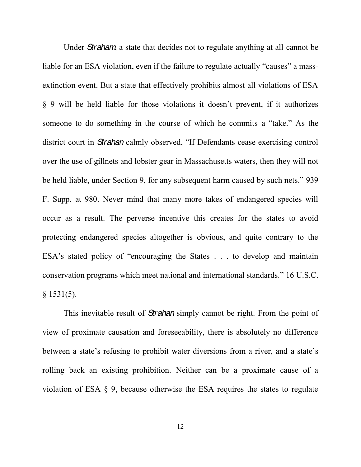Under *Straham*, a state that decides not to regulate anything at all cannot be liable for an ESA violation, even if the failure to regulate actually "causes" a massextinction event. But a state that effectively prohibits almost all violations of ESA  $\S$  9 will be held liable for those violations it doesn't prevent, if it authorizes someone to do something in the course of which he commits a "take." As the district court in *Strahan* calmly observed, "If Defendants cease exercising control over the use of gillnets and lobster gear in Massachusetts waters, then they will not be held liable, under Section 9, for any subsequent harm caused by such nets." 939 F. Supp. at 980. Never mind that many more takes of endangered species will occur as a result. The perverse incentive this creates for the states to avoid protecting endangered species altogether is obvious, and quite contrary to the  $ESA's$  stated policy of "encouraging the States . . . to develop and maintain conservation programs which meet national and international standards.´ 16 U.S.C.  $§$  1531(5).

This inevitable result of *Strahan* simply cannot be right. From the point of view of proximate causation and foreseeability, there is absolutely no difference between a state's refusing to prohibit water diversions from a river, and a state's rolling back an existing prohibition. Neither can be a proximate cause of a violation of ESA § 9, because otherwise the ESA requires the states to regulate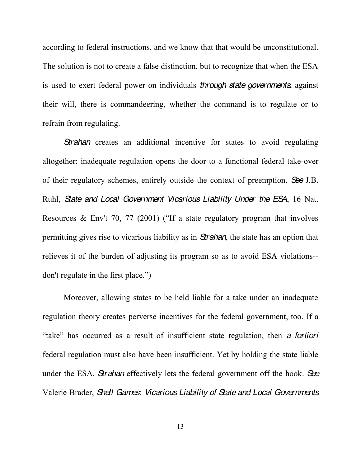according to federal instructions, and we know that that would be unconstitutional. The solution is not to create a false distinction, but to recognize that when the ESA is used to exert federal power on individuals *through state governments*, against their will, there is commandeering, whether the command is to regulate or to refrain from regulating.

**Strahan** creates an additional incentive for states to avoid regulating altogether: inadequate regulation opens the door to a functional federal take-over of their regulatory schemes, entirely outside the context of preemption. *See* J.B. Ruhl, *State and Local Government Vicarious Liability Under the ESA*, 16 Nat. Resources & Env't 70, 77 (2001) ("If a state regulatory program that involves permitting gives rise to vicarious liability as in *Strahan*, the state has an option that relieves it of the burden of adjusting its program so as to avoid ESA violations- don't regulate in the first place.")

Moreover, allowing states to be held liable for a take under an inadequate regulation theory creates perverse incentives for the federal government, too. If a "take" has occurred as a result of insufficient state regulation, then *a fortiori* federal regulation must also have been insufficient. Yet by holding the state liable under the ESA, *Strahan* effectively lets the federal government off the hook. *See*  Valerie Brader, *Shell Games: Vicarious Liability of State and Local Governments*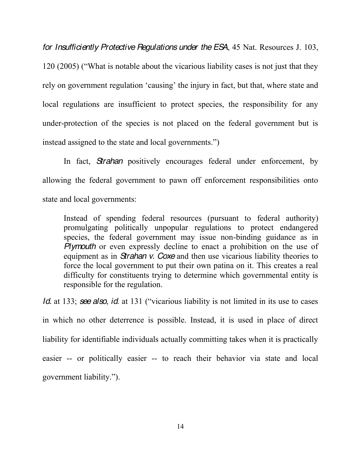*for Insufficiently Protective Regulations under the ESA*, 45 Nat. Resources J. 103,  $120(2005)$  ("What is notable about the vicarious liability cases is not just that they rely on government regulation 'causing' the injury in fact, but that, where state and local regulations are insufficient to protect species, the responsibility for any under-protection of the species is not placed on the federal government but is instead assigned to the state and local governments.")

In fact, *Strahan* positively encourages federal under enforcement, by allowing the federal government to pawn off enforcement responsibilities onto state and local governments:

Instead of spending federal resources (pursuant to federal authority) promulgating politically unpopular regulations to protect endangered species, the federal government may issue non-binding guidance as in *Plymouth* or even expressly decline to enact a prohibition on the use of equipment as in *Strahan v. Coxe* and then use vicarious liability theories to force the local government to put their own patina on it. This creates a real difficulty for constituents trying to determine which governmental entity is responsible for the regulation.

*Id.* at 133; *see also, id.* at 131 ("vicarious liability is not limited in its use to cases in which no other deterrence is possible. Instead, it is used in place of direct liability for identifiable individuals actually committing takes when it is practically easier -- or politically easier -- to reach their behavior via state and local government liability.").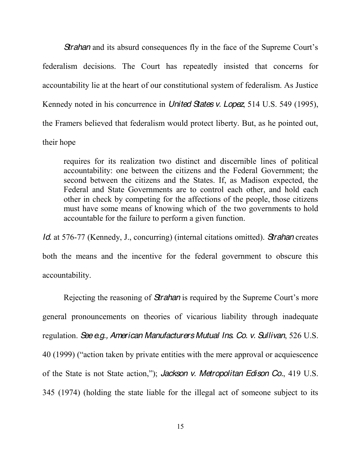**Strahan** and its absurd consequences fly in the face of the Supreme Court's federalism decisions. The Court has repeatedly insisted that concerns for accountability lie at the heart of our constitutional system of federalism. As Justice Kennedy noted in his concurrence in *United States v. Lopez*, 514 U.S. 549 (1995), the Framers believed that federalism would protect liberty. But, as he pointed out, their hope

requires for its realization two distinct and discernible lines of political accountability: one between the citizens and the Federal Government; the second between the citizens and the States. If, as Madison expected, the Federal and State Governments are to control each other, and hold each other in check by competing for the affections of the people, those citizens must have some means of knowing which of the two governments to hold accountable for the failure to perform a given function.

*Id.* at 576-77 (Kennedy, J., concurring) (internal citations omitted). *Strahan* creates both the means and the incentive for the federal government to obscure this accountability.

Rejecting the reasoning of *Strahan* is required by the Supreme Court's more general pronouncements on theories of vicarious liability through inadequate regulation. *See e.g., American Manufacturers Mutual Ins. Co. v. Sullivan*, 526 U.S. 40 (1999) ("action taken by private entities with the mere approval or acquiescence of the State is not State action,"); *Jackson v. Metropolitan Edison Co.*, 419 U.S. 345 (1974) (holding the state liable for the illegal act of someone subject to its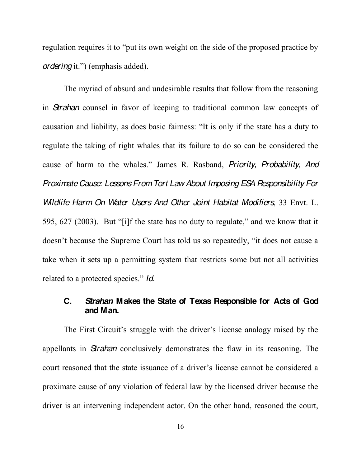regulation requires it to "put its own weight on the side of the proposed practice by *ordering* it.") (emphasis added).

The myriad of absurd and undesirable results that follow from the reasoning in *Strahan* counsel in favor of keeping to traditional common law concepts of causation and liability, as does basic fairness: "It is only if the state has a duty to regulate the taking of right whales that its failure to do so can be considered the cause of harm to the whales." James R. Rasband, *Priority, Probability, And Proximate Cause: Lessons From Tort Law About Imposing ESA Responsibility For Wildlife Harm On Water Users And Other Joint Habitat Modifiers*, 33 Envt. L. 595, 627 (2003). But "[i]f the state has no duty to regulate," and we know that it doesn't because the Supreme Court has told us so repeatedly, "it does not cause a take when it sets up a permitting system that restricts some but not all activities related to a protected species." *Id.* 

## **C.** *Strahan* **Makes the State of Texas Responsible for Acts of God and Man.**

The First Circuit's struggle with the driver's license analogy raised by the appellants in *Strahan* conclusively demonstrates the flaw in its reasoning. The court reasoned that the state issuance of a driver's license cannot be considered a proximate cause of any violation of federal law by the licensed driver because the driver is an intervening independent actor. On the other hand, reasoned the court,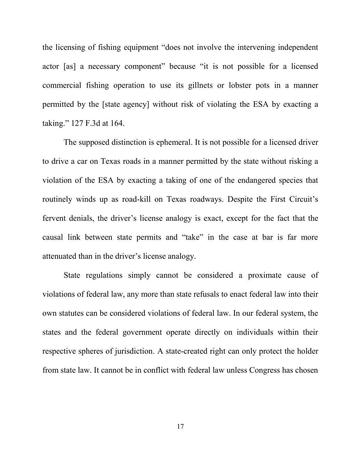the licensing of fishing equipment "does not involve the intervening independent actor [as] a necessary component" because "it is not possible for a licensed commercial fishing operation to use its gillnets or lobster pots in a manner permitted by the [state agency] without risk of violating the ESA by exacting a taking."  $127$  F.3d at 164.

The supposed distinction is ephemeral. It is not possible for a licensed driver to drive a car on Texas roads in a manner permitted by the state without risking a violation of the ESA by exacting a taking of one of the endangered species that routinely winds up as road-kill on Texas roadways. Despite the First Circuit's fervent denials, the driver's license analogy is exact, except for the fact that the causal link between state permits and "take" in the case at bar is far more attenuated than in the driver's license analogy.

State regulations simply cannot be considered a proximate cause of violations of federal law, any more than state refusals to enact federal law into their own statutes can be considered violations of federal law. In our federal system, the states and the federal government operate directly on individuals within their respective spheres of jurisdiction. A state-created right can only protect the holder from state law. It cannot be in conflict with federal law unless Congress has chosen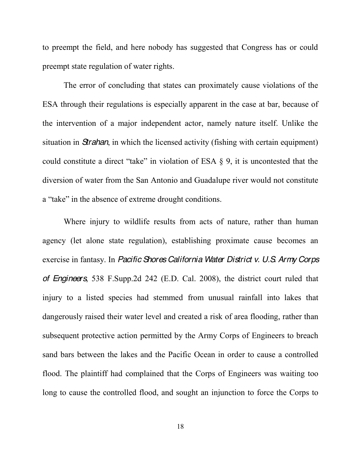to preempt the field, and here nobody has suggested that Congress has or could preempt state regulation of water rights.

The error of concluding that states can proximately cause violations of the ESA through their regulations is especially apparent in the case at bar, because of the intervention of a major independent actor, namely nature itself. Unlike the situation in *Strahan*, in which the licensed activity (fishing with certain equipment) could constitute a direct "take" in violation of ESA  $\S$  9, it is uncontested that the diversion of water from the San Antonio and Guadalupe river would not constitute a "take" in the absence of extreme drought conditions.

Where injury to wildlife results from acts of nature, rather than human agency (let alone state regulation), establishing proximate cause becomes an exercise in fantasy. In *Pacific Shores California Water District v. U.S. Army Corps of Engineers*, 538 F.Supp.2d 242 (E.D. Cal. 2008), the district court ruled that injury to a listed species had stemmed from unusual rainfall into lakes that dangerously raised their water level and created a risk of area flooding, rather than subsequent protective action permitted by the Army Corps of Engineers to breach sand bars between the lakes and the Pacific Ocean in order to cause a controlled flood. The plaintiff had complained that the Corps of Engineers was waiting too long to cause the controlled flood, and sought an injunction to force the Corps to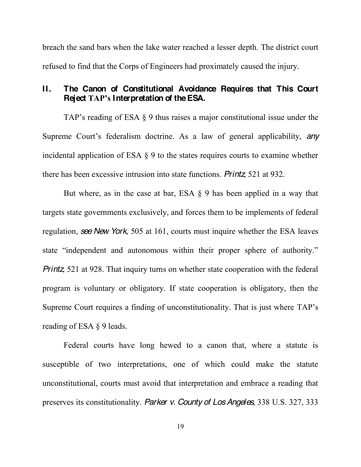breach the sand bars when the lake water reached a lesser depth. The district court refused to find that the Corps of Engineers had proximately caused the injury.

## **II. The Canon of Constitutional Avoidance Requires that This Court Reject TAP's Interpretation of the ESA.**

TAP's reading of ESA  $\S$  9 thus raises a major constitutional issue under the Supreme Court's federalism doctrine. As a law of general applicability, any incidental application of ESA § 9 to the states requires courts to examine whether there has been excessive intrusion into state functions. *Printz*, 521 at 932.

But where, as in the case at bar, ESA § 9 has been applied in a way that targets state governments exclusively, and forces them to be implements of federal regulation, *see New York*, 505 at 161, courts must inquire whether the ESA leaves state "independent and autonomous within their proper sphere of authority." *Printz*, 521 at 928. That inquiry turns on whether state cooperation with the federal program is voluntary or obligatory. If state cooperation is obligatory, then the Supreme Court requires a finding of unconstitutionality. That is just where TAP's reading of ESA § 9 leads.

Federal courts have long hewed to a canon that, where a statute is susceptible of two interpretations, one of which could make the statute unconstitutional, courts must avoid that interpretation and embrace a reading that preserves its constitutionality. *Parker v. County of Los Angeles*, 338 U.S. 327, 333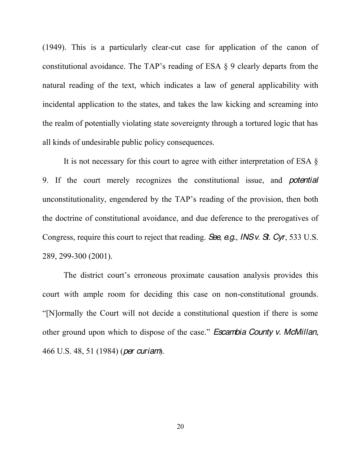(1949). This is a particularly clear-cut case for application of the canon of constitutional avoidance. The TAP's reading of ESA  $\S$  9 clearly departs from the natural reading of the text, which indicates a law of general applicability with incidental application to the states, and takes the law kicking and screaming into the realm of potentially violating state sovereignty through a tortured logic that has all kinds of undesirable public policy consequences.

It is not necessary for this court to agree with either interpretation of ESA § 9. If the court merely recognizes the constitutional issue, and *potential* unconstitutionality, engendered by the TAP's reading of the provision, then both the doctrine of constitutional avoidance, and due deference to the prerogatives of Congress, require this court to reject that reading. *See*, *e.g.*, *INS v. St. Cyr*, 533 U.S. 289, 299-300 (2001).

The district court's erroneous proximate causation analysis provides this court with ample room for deciding this case on non-constitutional grounds. "[N]ormally the Court will not decide a constitutional question if there is some other ground upon which to dispose of the case." Escambia County v. McMillan, 466 U.S. 48, 51 (1984) (*per curiam*).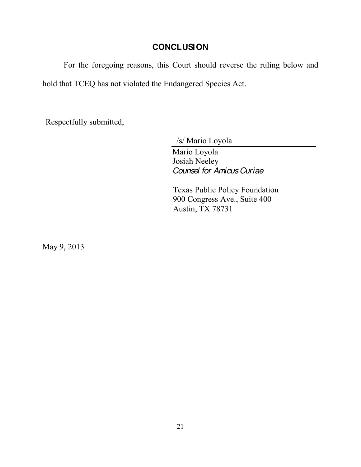## **CONCLUSION**

For the foregoing reasons, this Court should reverse the ruling below and hold that TCEQ has not violated the Endangered Species Act.

Respectfully submitted,

/s/ Mario Loyola

Mario Loyola Josiah Neeley *Counsel for Amicus Curiae*

Texas Public Policy Foundation 900 Congress Ave., Suite 400 Austin, TX 78731

May 9, 2013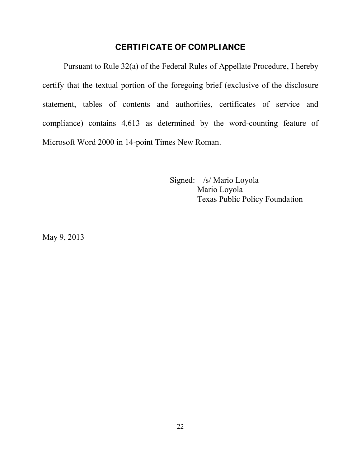## **CERTIFICATE OF COMPLIANCE**

Pursuant to Rule 32(a) of the Federal Rules of Appellate Procedure, I hereby certify that the textual portion of the foregoing brief (exclusive of the disclosure statement, tables of contents and authorities, certificates of service and compliance) contains 4,613 as determined by the word-counting feature of Microsoft Word 2000 in 14-point Times New Roman.

> Signed: /s/ Mario Loyola Mario Loyola Texas Public Policy Foundation

May 9, 2013